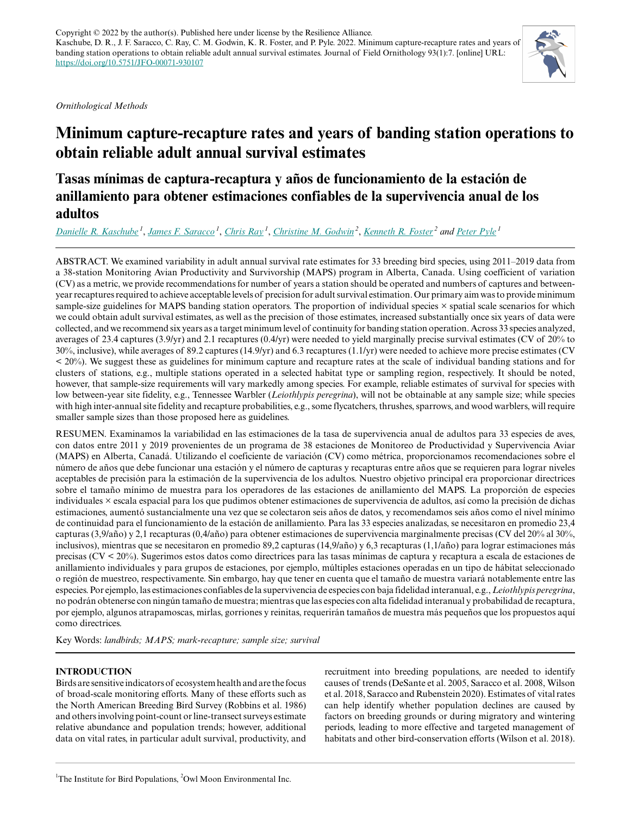*Ornithological Methods*

# **Minimum capture-recapture rates and years of banding station operations to obtain reliable adult annual survival estimates**

## **Tasas mínimas de captura-recaptura y años de funcionamiento de la estación de anillamiento para obtener estimaciones confiables de la supervivencia anual de los adultos**

*[Danielle R. Kaschube](mailto:dkaschube@birdpop.org)<sup>1</sup>* , *[James F. Saracco](mailto:jsaracco@birdpop.org)<sup>1</sup>* , *[Chris Ray](mailto:cray@birdpop.org)<sup>1</sup>* , *[Christine M. Godwin](mailto:cgodwin@owlmoon.ca)<sup>2</sup>* , *[Kenneth R. Foster](mailto:kfoster@owlmoon.ca)<sup>2</sup> and [Peter Pyle](mailto:ppyle@birdpop.org)<sup>1</sup>*

ABSTRACT. We examined variability in adult annual survival rate estimates for 33 breeding bird species, using 2011–2019 data from a 38-station Monitoring Avian Productivity and Survivorship (MAPS) program in Alberta, Canada. Using coefficient of variation (CV) as a metric, we provide recommendations for number of years a station should be operated and numbers of captures and betweenyear recaptures required to achieve acceptable levels of precision for adult survival estimation. Our primary aim was to provide minimum sample-size guidelines for MAPS banding station operators. The proportion of individual species × spatial scale scenarios for which we could obtain adult survival estimates, as well as the precision of those estimates, increased substantially once six years of data were collected, and we recommend six years as a target minimum level of continuity for banding station operation. Across 33 species analyzed, averages of 23.4 captures (3.9/yr) and 2.1 recaptures (0.4/yr) were needed to yield marginally precise survival estimates (CV of 20% to 30%, inclusive), while averages of 89.2 captures (14.9/yr) and 6.3 recaptures (1.1/yr) were needed to achieve more precise estimates (CV  $\leq$  20%). We suggest these as guidelines for minimum capture and recapture rates at the scale of individual banding stations and for clusters of stations, e.g., multiple stations operated in a selected habitat type or sampling region, respectively. It should be noted, however, that sample-size requirements will vary markedly among species. For example, reliable estimates of survival for species with low between-year site fidelity, e.g., Tennessee Warbler (*Leiothlypis peregrina*), will not be obtainable at any sample size; while species with high inter-annual site fidelity and recapture probabilities, e.g., some flycatchers, thrushes, sparrows, and wood warblers, will require smaller sample sizes than those proposed here as guidelines.

RESUMEN. Examinamos la variabilidad en las estimaciones de la tasa de supervivencia anual de adultos para 33 especies de aves, con datos entre 2011 y 2019 provenientes de un programa de 38 estaciones de Monitoreo de Productividad y Supervivencia Aviar (MAPS) en Alberta, Canadá. Utilizando el coeficiente de variación (CV) como métrica, proporcionamos recomendaciones sobre el número de años que debe funcionar una estación y el número de capturas y recapturas entre años que se requieren para lograr niveles aceptables de precisión para la estimación de la supervivencia de los adultos. Nuestro objetivo principal era proporcionar directrices sobre el tamaño mínimo de muestra para los operadores de las estaciones de anillamiento del MAPS. La proporción de especies individuales × escala espacial para los que pudimos obtener estimaciones de supervivencia de adultos, así como la precisión de dichas estimaciones, aumentó sustancialmente una vez que se colectaron seis años de datos, y recomendamos seis años como el nivel mínimo de continuidad para el funcionamiento de la estación de anillamiento. Para las 33 especies analizadas, se necesitaron en promedio 23,4 capturas (3,9/año) y 2,1 recapturas (0,4/año) para obtener estimaciones de supervivencia marginalmente precisas (CV del 20% al 30%, inclusivos), mientras que se necesitaron en promedio 89,2 capturas (14,9/año) y 6,3 recapturas (1,1/año) para lograr estimaciones más precisas (CV < 20%). Sugerimos estos datos como directrices para las tasas mínimas de captura y recaptura a escala de estaciones de anillamiento individuales y para grupos de estaciones, por ejemplo, múltiples estaciones operadas en un tipo de hábitat seleccionado o región de muestreo, respectivamente. Sin embargo, hay que tener en cuenta que el tamaño de muestra variará notablemente entre las especies. Por ejemplo, las estimaciones confiables de la supervivencia de especies con baja fidelidad interanual, e.g., *Leiothlypis peregrina*, no podrán obtenerse con ningún tamaño de muestra; mientras que las especies con alta fidelidad interanual y probabilidad de recaptura, por ejemplo, algunos atrapamoscas, mirlas, gorriones y reinitas, requerirán tamaños de muestra más pequeños que los propuestos aquí como directrices.

Key Words: *landbirds; MAPS; mark-recapture; sample size; survival*

## **INTRODUCTION**

Birds are sensitive indicators of ecosystem health and are the focus of broad-scale monitoring efforts. Many of these efforts such as the North American Breeding Bird Survey (Robbins et al. 1986) and others involving point-count or line-transect surveys estimate relative abundance and population trends; however, additional data on vital rates, in particular adult survival, productivity, and recruitment into breeding populations, are needed to identify causes of trends (DeSante et al. 2005, Saracco et al. 2008, Wilson et al. 2018, Saracco and Rubenstein 2020). Estimates of vital rates can help identify whether population declines are caused by factors on breeding grounds or during migratory and wintering periods, leading to more effective and targeted management of habitats and other bird-conservation efforts (Wilson et al. 2018).

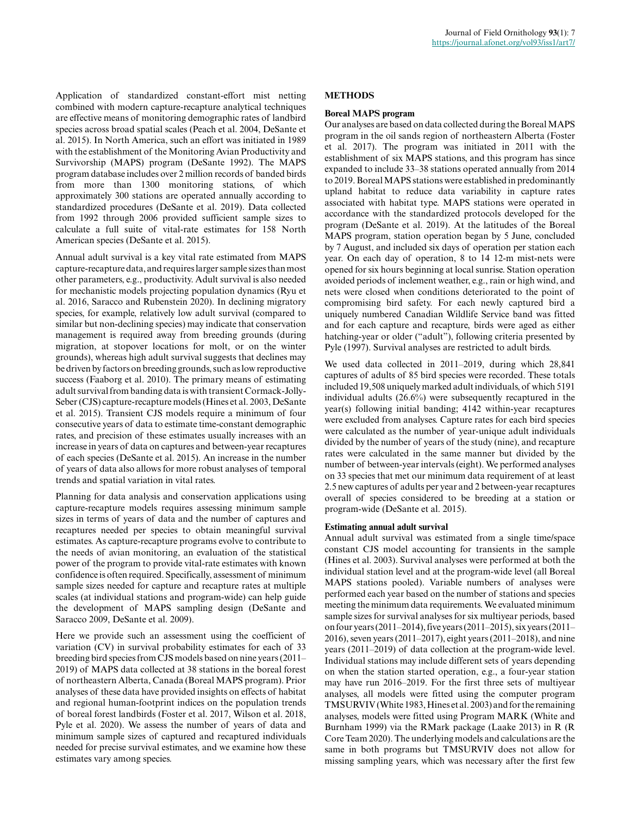Application of standardized constant-effort mist netting combined with modern capture-recapture analytical techniques are effective means of monitoring demographic rates of landbird species across broad spatial scales (Peach et al. 2004, DeSante et al. 2015). In North America, such an effort was initiated in 1989 with the establishment of the Monitoring Avian Productivity and Survivorship (MAPS) program (DeSante 1992). The MAPS program database includes over 2 million records of banded birds from more than 1300 monitoring stations, of which approximately 300 stations are operated annually according to standardized procedures (DeSante et al. 2019). Data collected from 1992 through 2006 provided sufficient sample sizes to calculate a full suite of vital-rate estimates for 158 North American species (DeSante et al. 2015).

Annual adult survival is a key vital rate estimated from MAPS capture-recapture data, and requires larger sample sizes than most other parameters, e.g., productivity. Adult survival is also needed for mechanistic models projecting population dynamics (Ryu et al. 2016, Saracco and Rubenstein 2020). In declining migratory species, for example, relatively low adult survival (compared to similar but non-declining species) may indicate that conservation management is required away from breeding grounds (during migration, at stopover locations for molt, or on the winter grounds), whereas high adult survival suggests that declines may be driven by factors on breeding grounds, such as low reproductive success (Faaborg et al. 2010). The primary means of estimating adult survival from banding data is with transient Cormack-Jolly-Seber (CJS) capture-recapture models (Hines et al. 2003, DeSante et al. 2015). Transient CJS models require a minimum of four consecutive years of data to estimate time-constant demographic rates, and precision of these estimates usually increases with an increase in years of data on captures and between-year recaptures of each species (DeSante et al. 2015). An increase in the number of years of data also allows for more robust analyses of temporal trends and spatial variation in vital rates.

Planning for data analysis and conservation applications using capture-recapture models requires assessing minimum sample sizes in terms of years of data and the number of captures and recaptures needed per species to obtain meaningful survival estimates. As capture-recapture programs evolve to contribute to the needs of avian monitoring, an evaluation of the statistical power of the program to provide vital-rate estimates with known confidence is often required. Specifically, assessment of minimum sample sizes needed for capture and recapture rates at multiple scales (at individual stations and program-wide) can help guide the development of MAPS sampling design (DeSante and Saracco 2009, DeSante et al. 2009).

Here we provide such an assessment using the coefficient of variation (CV) in survival probability estimates for each of 33 breeding bird species from CJS models based on nine years (2011– 2019) of MAPS data collected at 38 stations in the boreal forest of northeastern Alberta, Canada (Boreal MAPS program). Prior analyses of these data have provided insights on effects of habitat and regional human-footprint indices on the population trends of boreal forest landbirds (Foster et al. 2017, Wilson et al. 2018, Pyle et al. 2020). We assess the number of years of data and minimum sample sizes of captured and recaptured individuals needed for precise survival estimates, and we examine how these estimates vary among species.

#### **METHODS**

#### **Boreal MAPS program**

Our analyses are based on data collected during the Boreal MAPS program in the oil sands region of northeastern Alberta (Foster et al. 2017). The program was initiated in 2011 with the establishment of six MAPS stations, and this program has since expanded to include 33–38 stations operated annually from 2014 to 2019. Boreal MAPS stations were established in predominantly upland habitat to reduce data variability in capture rates associated with habitat type. MAPS stations were operated in accordance with the standardized protocols developed for the program (DeSante et al. 2019). At the latitudes of the Boreal MAPS program, station operation began by 5 June, concluded by 7 August, and included six days of operation per station each year. On each day of operation, 8 to 14 12-m mist-nets were opened for six hours beginning at local sunrise. Station operation avoided periods of inclement weather, e.g., rain or high wind, and nets were closed when conditions deteriorated to the point of compromising bird safety. For each newly captured bird a uniquely numbered Canadian Wildlife Service band was fitted and for each capture and recapture, birds were aged as either hatching-year or older ("adult"), following criteria presented by Pyle (1997). Survival analyses are restricted to adult birds.

We used data collected in 2011–2019, during which 28,841 captures of adults of 85 bird species were recorded. These totals included 19,508 uniquely marked adult individuals, of which 5191 individual adults (26.6%) were subsequently recaptured in the year(s) following initial banding; 4142 within-year recaptures were excluded from analyses. Capture rates for each bird species were calculated as the number of year-unique adult individuals divided by the number of years of the study (nine), and recapture rates were calculated in the same manner but divided by the number of between-year intervals (eight). We performed analyses on 33 species that met our minimum data requirement of at least 2.5 new captures of adults per year and 2 between-year recaptures overall of species considered to be breeding at a station or program-wide (DeSante et al. 2015).

#### **Estimating annual adult survival**

Annual adult survival was estimated from a single time/space constant CJS model accounting for transients in the sample (Hines et al. 2003). Survival analyses were performed at both the individual station level and at the program-wide level (all Boreal MAPS stations pooled). Variable numbers of analyses were performed each year based on the number of stations and species meeting the minimum data requirements. We evaluated minimum sample sizes for survival analyses for six multiyear periods, based on four years (2011–2014), five years (2011–2015), six years (2011– 2016), seven years (2011–2017), eight years (2011–2018), and nine years (2011–2019) of data collection at the program-wide level. Individual stations may include different sets of years depending on when the station started operation, e.g., a four-year station may have run 2016–2019. For the first three sets of multiyear analyses, all models were fitted using the computer program TMSURVIV (White 1983, Hines et al. 2003) and for the remaining analyses, models were fitted using Program MARK (White and Burnham 1999) via the RMark package (Laake 2013) in R (R Core Team 2020). The underlying models and calculations are the same in both programs but TMSURVIV does not allow for missing sampling years, which was necessary after the first few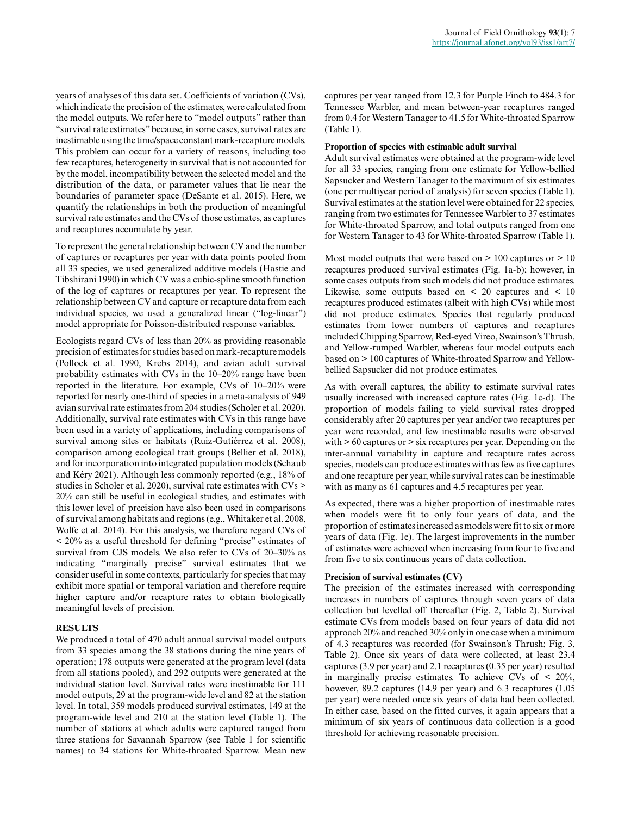years of analyses of this data set. Coefficients of variation (CVs), which indicate the precision of the estimates, were calculated from the model outputs. We refer here to "model outputs" rather than "survival rate estimates" because, in some cases, survival rates are inestimable using the time/space constant mark-recapture models. This problem can occur for a variety of reasons, including too few recaptures, heterogeneity in survival that is not accounted for by the model, incompatibility between the selected model and the distribution of the data, or parameter values that lie near the boundaries of parameter space (DeSante et al. 2015). Here, we quantify the relationships in both the production of meaningful survival rate estimates and the CVs of those estimates, as captures and recaptures accumulate by year.

To represent the general relationship between CV and the number of captures or recaptures per year with data points pooled from all 33 species, we used generalized additive models (Hastie and Tibshirani 1990) in which CV was a cubic-spline smooth function of the log of captures or recaptures per year. To represent the relationship between CV and capture or recapture data from each individual species, we used a generalized linear ("log-linear") model appropriate for Poisson-distributed response variables.

Ecologists regard CVs of less than 20% as providing reasonable precision of estimates for studies based on mark-recapture models (Pollock et al. 1990, Krebs 2014), and avian adult survival probability estimates with CVs in the 10–20% range have been reported in the literature. For example, CVs of 10–20% were reported for nearly one-third of species in a meta-analysis of 949 avian survival rate estimates from 204 studies (Scholer et al. 2020). Additionally, survival rate estimates with CVs in this range have been used in a variety of applications, including comparisons of survival among sites or habitats (Ruiz-Gutiérrez et al. 2008), comparison among ecological trait groups (Bellier et al. 2018), and for incorporation into integrated population models (Schaub and Kéry 2021). Although less commonly reported (e.g., 18% of studies in Scholer et al. 2020), survival rate estimates with CVs > 20% can still be useful in ecological studies, and estimates with this lower level of precision have also been used in comparisons of survival among habitats and regions (e.g., Whitaker et al. 2008, Wolfe et al. 2014). For this analysis, we therefore regard CVs of < 20% as a useful threshold for defining "precise" estimates of survival from CJS models. We also refer to CVs of 20–30% as indicating "marginally precise" survival estimates that we consider useful in some contexts, particularly for species that may exhibit more spatial or temporal variation and therefore require higher capture and/or recapture rates to obtain biologically meaningful levels of precision.

#### **RESULTS**

We produced a total of 470 adult annual survival model outputs from 33 species among the 38 stations during the nine years of operation; 178 outputs were generated at the program level (data from all stations pooled), and 292 outputs were generated at the individual station level. Survival rates were inestimable for 111 model outputs, 29 at the program-wide level and 82 at the station level. In total, 359 models produced survival estimates, 149 at the program-wide level and 210 at the station level (Table 1). The number of stations at which adults were captured ranged from three stations for Savannah Sparrow (see Table 1 for scientific names) to 34 stations for White-throated Sparrow. Mean new

captures per year ranged from 12.3 for Purple Finch to 484.3 for Tennessee Warbler, and mean between-year recaptures ranged from 0.4 for Western Tanager to 41.5 for White-throated Sparrow (Table 1).

#### **Proportion of species with estimable adult survival**

Adult survival estimates were obtained at the program-wide level for all 33 species, ranging from one estimate for Yellow-bellied Sapsucker and Western Tanager to the maximum of six estimates (one per multiyear period of analysis) for seven species (Table 1). Survival estimates at the station level were obtained for 22 species, ranging from two estimates for Tennessee Warbler to 37 estimates for White-throated Sparrow, and total outputs ranged from one for Western Tanager to 43 for White-throated Sparrow (Table 1).

Most model outputs that were based on  $> 100$  captures or  $> 10$ recaptures produced survival estimates (Fig. 1a-b); however, in some cases outputs from such models did not produce estimates. Likewise, some outputs based on < 20 captures and < 10 recaptures produced estimates (albeit with high CVs) while most did not produce estimates. Species that regularly produced estimates from lower numbers of captures and recaptures included Chipping Sparrow, Red-eyed Vireo, Swainson's Thrush, and Yellow-rumped Warbler, whereas four model outputs each based on > 100 captures of White-throated Sparrow and Yellowbellied Sapsucker did not produce estimates.

As with overall captures, the ability to estimate survival rates usually increased with increased capture rates (Fig. 1c-d). The proportion of models failing to yield survival rates dropped considerably after 20 captures per year and/or two recaptures per year were recorded, and few inestimable results were observed with > 60 captures or > six recaptures per year. Depending on the inter-annual variability in capture and recapture rates across species, models can produce estimates with as few as five captures and one recapture per year, while survival rates can be inestimable with as many as 61 captures and 4.5 recaptures per year.

As expected, there was a higher proportion of inestimable rates when models were fit to only four years of data, and the proportion of estimates increased as models were fit to six or more years of data (Fig. 1e). The largest improvements in the number of estimates were achieved when increasing from four to five and from five to six continuous years of data collection.

#### **Precision of survival estimates (CV)**

The precision of the estimates increased with corresponding increases in numbers of captures through seven years of data collection but levelled off thereafter (Fig. 2, Table 2). Survival estimate CVs from models based on four years of data did not approach 20% and reached 30% only in one case when a minimum of 4.3 recaptures was recorded (for Swainson's Thrush; Fig. 3, Table 2). Once six years of data were collected, at least 23.4 captures (3.9 per year) and 2.1 recaptures (0.35 per year) resulted in marginally precise estimates. To achieve CVs of < 20%, however, 89.2 captures (14.9 per year) and 6.3 recaptures (1.05 per year) were needed once six years of data had been collected. In either case, based on the fitted curves, it again appears that a minimum of six years of continuous data collection is a good threshold for achieving reasonable precision.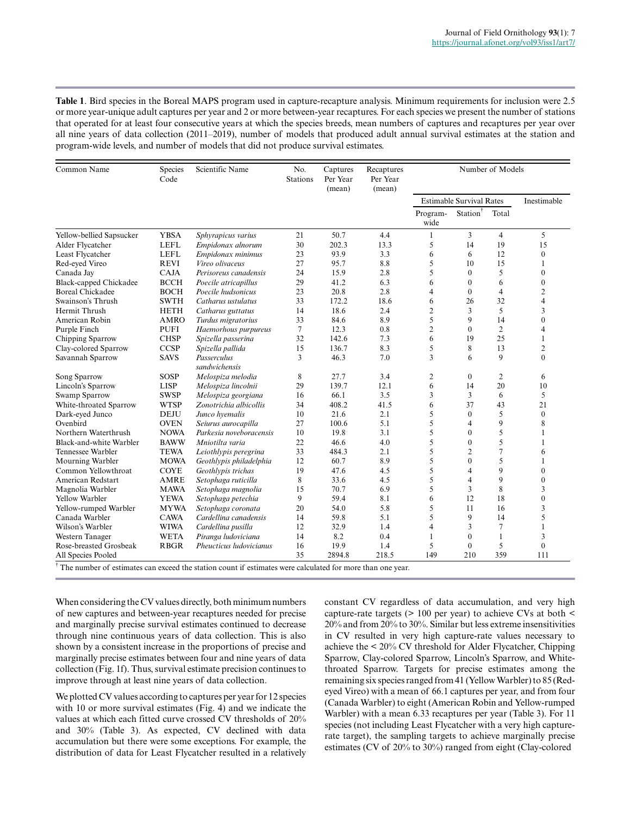**Table 1**. Bird species in the Boreal MAPS program used in capture-recapture analysis. Minimum requirements for inclusion were 2.5 or more year-unique adult captures per year and 2 or more between-year recaptures. For each species we present the number of stations that operated for at least four consecutive years at which the species breeds, mean numbers of captures and recaptures per year over all nine years of data collection (2011–2019), number of models that produced adult annual survival estimates at the station and program-wide levels, and number of models that did not produce survival estimates.

| Common Name                                                                                                         | Species<br>Code | Scientific Name              | No.<br><b>Stations</b> | Captures<br>Per Year<br>(mean) | Recaptures<br>Per Year<br>(mean) | Number of Models                |                  |                |                         |
|---------------------------------------------------------------------------------------------------------------------|-----------------|------------------------------|------------------------|--------------------------------|----------------------------------|---------------------------------|------------------|----------------|-------------------------|
|                                                                                                                     |                 |                              |                        |                                |                                  | <b>Estimable Survival Rates</b> |                  | Inestimable    |                         |
|                                                                                                                     |                 |                              |                        |                                |                                  | Program-<br>wide                | Station          | Total          |                         |
| Yellow-bellied Sapsucker                                                                                            | <b>YBSA</b>     | Sphyrapicus varius           | 21                     | 50.7                           | 4.4                              | $\mathbf{1}$                    | 3                | $\overline{4}$ | 5                       |
| Alder Flycatcher                                                                                                    | <b>LEFL</b>     | Empidonax alnorum            | 30                     | 202.3                          | 13.3                             | 5                               | 14               | 19             | 15                      |
| Least Flycatcher                                                                                                    | <b>LEFL</b>     | Empidonax minimus            | 23                     | 93.9                           | 3.3                              | 6                               | 6                | 12             | $\boldsymbol{0}$        |
| Red-eved Vireo                                                                                                      | <b>REVI</b>     | Vireo olivaceus              | 27                     | 95.7                           | 8.8                              | 5                               | 10               | 15             | 1                       |
| Canada Jay                                                                                                          | <b>CAJA</b>     | Perisoreus canadensis        | 24                     | 15.9                           | 2.8                              | 5                               | $\mathbf{0}$     | 5              | $\boldsymbol{0}$        |
| Black-capped Chickadee                                                                                              | <b>BCCH</b>     | Poecile atricapillus         | 29                     | 41.2                           | 6.3                              | 6                               | $\boldsymbol{0}$ | 6              | $\boldsymbol{0}$        |
| <b>Boreal Chickadee</b>                                                                                             | <b>BOCH</b>     | Poecile hudsonicus           | 23                     | 20.8                           | 2.8                              | $\overline{4}$                  | $\theta$         | $\overline{4}$ | $\overline{c}$          |
| Swainson's Thrush                                                                                                   | <b>SWTH</b>     | Catharus ustulatus           | 33                     | 172.2                          | 18.6                             | 6                               | 26               | 32             | $\overline{\mathbf{4}}$ |
| Hermit Thrush                                                                                                       | <b>HETH</b>     | Catharus guttatus            | 14                     | 18.6                           | 2.4                              | $\overline{c}$                  | 3                | 5              | 3                       |
| American Robin                                                                                                      | <b>AMRO</b>     | Turdus migratorius           | 33                     | 84.6                           | 8.9                              | 5                               | 9                | 14             | $\theta$                |
| Purple Finch                                                                                                        | <b>PUFI</b>     | Haemorhous purpureus         | $\tau$                 | 12.3                           | 0.8                              | $\overline{2}$                  | $\theta$         | $\overline{c}$ | 4                       |
| Chipping Sparrow                                                                                                    | <b>CHSP</b>     | Spizella passerina           | 32                     | 142.6                          | 7.3                              | 6                               | 19               | 25             | 1                       |
| Clay-colored Sparrow                                                                                                | <b>CCSP</b>     | Spizella pallida             | 15                     | 136.7                          | 8.3                              | 5                               | 8                | 13             | $\overline{c}$          |
| Savannah Sparrow                                                                                                    | <b>SAVS</b>     | Passerculus<br>sandwichensis | 3                      | 46.3                           | 7.0                              | 3                               | 6                | 9              | $\overline{0}$          |
| Song Sparrow                                                                                                        | <b>SOSP</b>     | Melospiza melodia            | 8                      | 27.7                           | 3.4                              | $\overline{c}$                  | $\mathbf{0}$     | $\overline{c}$ | 6                       |
| Lincoln's Sparrow                                                                                                   | <b>LISP</b>     | Melospiza lincolnii          | 29                     | 139.7                          | 12.1                             | 6                               | 14               | 20             | 10                      |
| <b>Swamp Sparrow</b>                                                                                                | <b>SWSP</b>     | Melospiza georgiana          | 16                     | 66.1                           | 3.5                              | 3                               | 3                | 6              | 5                       |
| White-throated Sparrow                                                                                              | <b>WTSP</b>     | Zonotrichia albicollis       | 34                     | 408.2                          | 41.5                             | 6                               | 37               | 43             | 21                      |
| Dark-eyed Junco                                                                                                     | <b>DEJU</b>     | Junco hyemalis               | 10                     | 21.6                           | 2.1                              | 5                               | $\mathbf{0}$     | 5              | $\mathbf{0}$            |
| Ovenbird                                                                                                            | <b>OVEN</b>     | Seiurus aurocapilla          | 27                     | 100.6                          | 5.1                              | 5                               | 4                | 9              | 8                       |
| Northern Waterthrush                                                                                                | <b>NOWA</b>     | Parkesia noveboracensis      | 10                     | 19.8                           | 3.1                              | 5                               | $\theta$         | 5              |                         |
| Black-and-white Warbler                                                                                             | <b>BAWW</b>     | Mniotilta varia              | 22                     | 46.6                           | 4.0                              | 5                               | $\mathbf{0}$     | 5              |                         |
| Tennessee Warbler                                                                                                   | <b>TEWA</b>     | Leiothlypis peregrina        | 33                     | 484.3                          | 2.1                              | 5                               | $\overline{c}$   | 7              | 6                       |
| Mourning Warbler                                                                                                    | <b>MOWA</b>     | Geothlypis philadelphia      | 12                     | 60.7                           | 8.9                              | 5                               | $\theta$         | 5              |                         |
| Common Yellowthroat                                                                                                 | <b>COYE</b>     | Geothlypis trichas           | 19                     | 47.6                           | 4.5                              | 5                               | $\overline{4}$   | 9              | $\Omega$                |
| <b>American Redstart</b>                                                                                            | <b>AMRE</b>     | Setophaga ruticilla          | 8                      | 33.6                           | 4.5                              | 5                               | $\overline{4}$   | 9              | $\theta$                |
| Magnolia Warbler                                                                                                    | <b>MAWA</b>     | Setophaga magnolia           | 15                     | 70.7                           | 6.9                              | 5                               | 3                | 8              | 3                       |
| <b>Yellow Warbler</b>                                                                                               | <b>YEWA</b>     | Setophaga petechia           | 9                      | 59.4                           | 8.1                              | 6                               | 12               | 18             | $\theta$                |
| Yellow-rumped Warbler                                                                                               | <b>MYWA</b>     | Setophaga coronata           | 20                     | 54.0                           | 5.8                              | 5                               | 11               | 16             | 3                       |
| Canada Warbler                                                                                                      | <b>CAWA</b>     | Cardellina canadensis        | 14                     | 59.8                           | 5.1                              | 5                               | 9                | 14             | 5                       |
| Wilson's Warbler                                                                                                    | <b>WIWA</b>     | Cardellina pusilla           | 12                     | 32.9                           | 1.4                              | 4                               | 3                | 7              | 1                       |
| Western Tanager                                                                                                     | <b>WETA</b>     | Piranga ludoviciana          | 14                     | 8.2                            | 0.4                              | $\mathbf{1}$                    | $\mathbf{0}$     | 1              | 3                       |
| Rose-breasted Grosbeak                                                                                              | <b>RBGR</b>     | Pheucticus ludovicianus      | 16                     | 19.9                           | 1.4                              | 5                               | $\Omega$         | 5              | $\overline{0}$          |
| All Species Pooled                                                                                                  |                 |                              | 35                     | 2894.8                         | 218.5                            | 149                             | 210              | 359            | 111                     |
| $\dagger$ The number of estimates can exceed the station count if estimates were calculated for more than one year. |                 |                              |                        |                                |                                  |                                 |                  |                |                         |

When considering the CV values directly, both minimum numbers of new captures and between-year recaptures needed for precise and marginally precise survival estimates continued to decrease through nine continuous years of data collection. This is also shown by a consistent increase in the proportions of precise and marginally precise estimates between four and nine years of data collection (Fig. 1f). Thus, survival estimate precision continues to improve through at least nine years of data collection.

We plotted CV values according to captures per year for 12 species with 10 or more survival estimates (Fig. 4) and we indicate the values at which each fitted curve crossed CV thresholds of 20% and 30% (Table 3). As expected, CV declined with data accumulation but there were some exceptions. For example, the distribution of data for Least Flycatcher resulted in a relatively constant CV regardless of data accumulation, and very high capture-rate targets (> 100 per year) to achieve CVs at both < 20% and from 20% to 30%. Similar but less extreme insensitivities in CV resulted in very high capture-rate values necessary to achieve the < 20% CV threshold for Alder Flycatcher, Chipping Sparrow, Clay-colored Sparrow, Lincoln's Sparrow, and Whitethroated Sparrow. Targets for precise estimates among the remaining six species ranged from 41 (Yellow Warbler) to 85 (Redeyed Vireo) with a mean of 66.1 captures per year, and from four (Canada Warbler) to eight (American Robin and Yellow-rumped Warbler) with a mean 6.33 recaptures per year (Table 3). For 11 species (not including Least Flycatcher with a very high capturerate target), the sampling targets to achieve marginally precise estimates (CV of 20% to 30%) ranged from eight (Clay-colored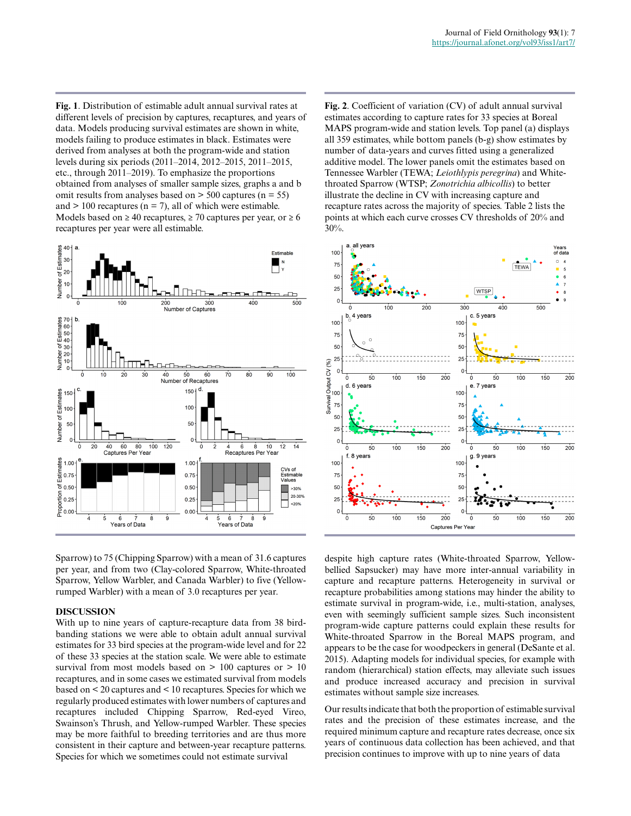**Fig. 1**. Distribution of estimable adult annual survival rates at different levels of precision by captures, recaptures, and years of data. Models producing survival estimates are shown in white, models failing to produce estimates in black. Estimates were derived from analyses at both the program-wide and station levels during six periods (2011–2014, 2012–2015, 2011–2015, etc., through 2011–2019). To emphasize the proportions obtained from analyses of smaller sample sizes, graphs a and b omit results from analyses based on  $>$  500 captures (n = 55) and  $> 100$  recaptures ( $n = 7$ ), all of which were estimable. Models based on  $\geq 40$  recaptures,  $\geq 70$  captures per year, or  $\geq 6$ recaptures per year were all estimable.



Sparrow) to 75 (Chipping Sparrow) with a mean of 31.6 captures per year, and from two (Clay-colored Sparrow, White-throated Sparrow, Yellow Warbler, and Canada Warbler) to five (Yellowrumped Warbler) with a mean of 3.0 recaptures per year.

#### **DISCUSSION**

With up to nine years of capture-recapture data from 38 birdbanding stations we were able to obtain adult annual survival estimates for 33 bird species at the program-wide level and for 22 of these 33 species at the station scale. We were able to estimate survival from most models based on  $> 100$  captures or  $> 10$ recaptures, and in some cases we estimated survival from models based on < 20 captures and < 10 recaptures. Species for which we regularly produced estimates with lower numbers of captures and recaptures included Chipping Sparrow, Red-eyed Vireo, Swainson's Thrush, and Yellow-rumped Warbler. These species may be more faithful to breeding territories and are thus more consistent in their capture and between-year recapture patterns. Species for which we sometimes could not estimate survival

**Fig. 2**. Coefficient of variation (CV) of adult annual survival estimates according to capture rates for 33 species at Boreal MAPS program-wide and station levels. Top panel (a) displays all 359 estimates, while bottom panels (b-g) show estimates by number of data-years and curves fitted using a generalized additive model. The lower panels omit the estimates based on Tennessee Warbler (TEWA; *Leiothlypis peregrina*) and Whitethroated Sparrow (WTSP; *Zonotrichia albicollis*) to better illustrate the decline in CV with increasing capture and recapture rates across the majority of species. Table 2 lists the points at which each curve crosses CV thresholds of 20% and 30%.



despite high capture rates (White-throated Sparrow, Yellowbellied Sapsucker) may have more inter-annual variability in capture and recapture patterns. Heterogeneity in survival or recapture probabilities among stations may hinder the ability to estimate survival in program-wide, i.e., multi-station, analyses, even with seemingly sufficient sample sizes. Such inconsistent program-wide capture patterns could explain these results for White-throated Sparrow in the Boreal MAPS program, and appears to be the case for woodpeckers in general (DeSante et al. 2015). Adapting models for individual species, for example with random (hierarchical) station effects, may alleviate such issues and produce increased accuracy and precision in survival estimates without sample size increases.

Our results indicate that both the proportion of estimable survival rates and the precision of these estimates increase, and the required minimum capture and recapture rates decrease, once six years of continuous data collection has been achieved, and that precision continues to improve with up to nine years of data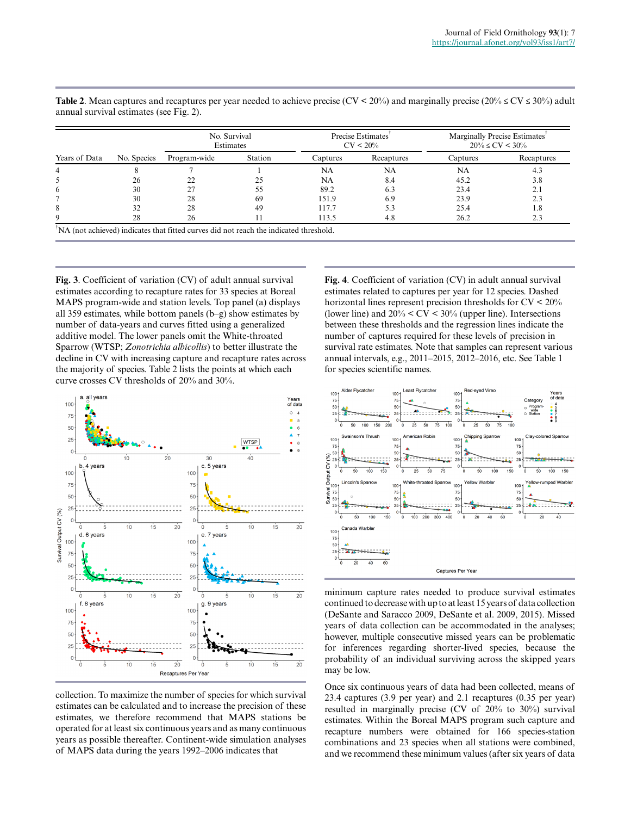| Years of Data |             | No. Survival<br>Estimates |         |          | Precise Estimates <sup>1</sup><br>$CV < 20\%$ | Marginally Precise Estimates <sup>T</sup><br>$20\% \le CV \le 30\%$ |            |  |
|---------------|-------------|---------------------------|---------|----------|-----------------------------------------------|---------------------------------------------------------------------|------------|--|
|               | No. Species | Program-wide              | Station | Captures | Recaptures                                    | Captures                                                            | Recaptures |  |
|               |             |                           |         | NA       | NA                                            | NA                                                                  | 4.3        |  |
|               | 26          |                           | 25      | NA       | 8.4                                           | 45.2                                                                | 3.8        |  |
| 6             | 30          |                           |         | 89.2     | 6.3                                           | 23.4                                                                | 2.1        |  |
|               | 30          | 28                        | 69      | 151.9    | 6.9                                           | 23.9                                                                | 2.3        |  |
| 8             | 32          | 28                        | 49      | 117.7    | 5.3                                           | 25.4                                                                | 1.8        |  |
|               | 28          | 26                        |         | 113.5    | 4.8                                           | 26.2                                                                | 2.3        |  |

**Table 2**. Mean captures and recaptures per year needed to achieve precise (CV < 20%) and marginally precise (20%  $\leq$  CV  $\leq$  30%) adult annual survival estimates (see Fig. 2).

**Fig. 3**. Coefficient of variation (CV) of adult annual survival estimates according to recapture rates for 33 species at Boreal MAPS program-wide and station levels. Top panel (a) displays all 359 estimates, while bottom panels (b–g) show estimates by number of data-years and curves fitted using a generalized additive model. The lower panels omit the White-throated Sparrow (WTSP; *Zonotrichia albicollis*) to better illustrate the decline in CV with increasing capture and recapture rates across the majority of species. Table 2 lists the points at which each curve crosses CV thresholds of 20% and 30%.



collection. To maximize the number of species for which survival estimates can be calculated and to increase the precision of these estimates, we therefore recommend that MAPS stations be operated for at least six continuous years and as many continuous years as possible thereafter. Continent-wide simulation analyses of MAPS data during the years 1992–2006 indicates that

**Fig. 4**. Coefficient of variation (CV) in adult annual survival estimates related to captures per year for 12 species. Dashed horizontal lines represent precision thresholds for CV < 20% (lower line) and  $20\% < CV < 30\%$  (upper line). Intersections between these thresholds and the regression lines indicate the number of captures required for these levels of precision in survival rate estimates. Note that samples can represent various annual intervals, e.g., 2011–2015, 2012–2016, etc. See Table 1 for species scientific names.



minimum capture rates needed to produce survival estimates continued to decrease with up to at least 15 years of data collection (DeSante and Saracco 2009, DeSante et al. 2009, 2015). Missed years of data collection can be accommodated in the analyses; however, multiple consecutive missed years can be problematic for inferences regarding shorter-lived species, because the probability of an individual surviving across the skipped years may be low.

Once six continuous years of data had been collected, means of 23.4 captures (3.9 per year) and 2.1 recaptures (0.35 per year) resulted in marginally precise (CV of 20% to 30%) survival estimates. Within the Boreal MAPS program such capture and recapture numbers were obtained for 166 species-station combinations and 23 species when all stations were combined, and we recommend these minimum values (after six years of data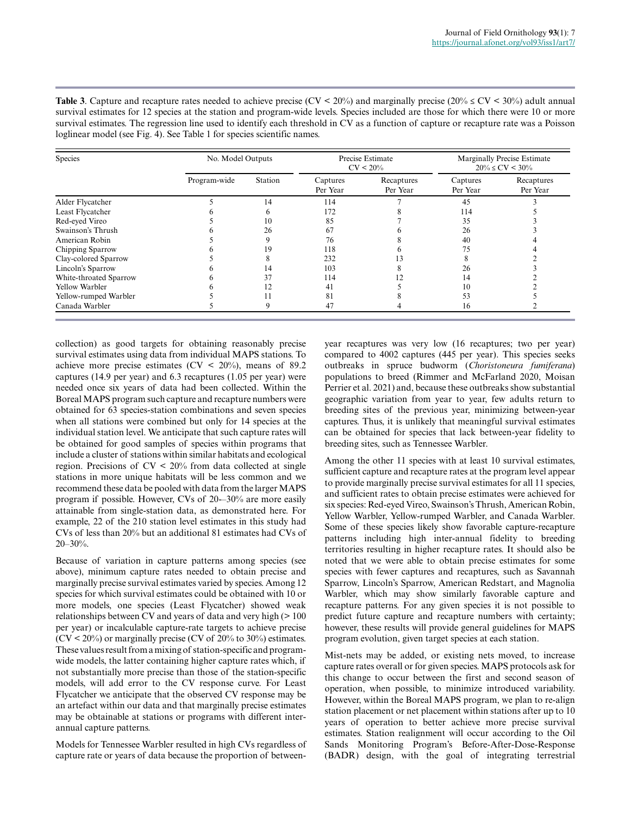**Table 3**. Capture and recapture rates needed to achieve precise (CV < 20%) and marginally precise (20%  $\leq$  CV < 30%) adult annual survival estimates for 12 species at the station and program-wide levels. Species included are those for which there were 10 or more survival estimates. The regression line used to identify each threshold in CV as a function of capture or recapture rate was a Poisson loglinear model (see Fig. 4). See Table 1 for species scientific names.

| Species                | No. Model Outputs |              |                      | Precise Estimate<br>$CV < 20\%$ | <b>Marginally Precise Estimate</b><br>$20\% \le CV \le 30\%$ |                        |
|------------------------|-------------------|--------------|----------------------|---------------------------------|--------------------------------------------------------------|------------------------|
|                        | Program-wide      | Station      | Captures<br>Per Year | Recaptures<br>Per Year          | Captures<br>Per Year                                         | Recaptures<br>Per Year |
| Alder Flycatcher       |                   | 14           | 114                  |                                 | 45                                                           |                        |
| Least Flycatcher       |                   | <sub>b</sub> | 172                  |                                 | 114                                                          |                        |
| Red-eyed Vireo         |                   | 10           | 85                   |                                 | 35                                                           |                        |
| Swainson's Thrush      |                   | 26           | 67                   |                                 | 26                                                           |                        |
| American Robin         |                   |              | 76                   |                                 | 40                                                           |                        |
| Chipping Sparrow       |                   | 19           | 118                  |                                 | 75                                                           |                        |
| Clay-colored Sparrow   |                   |              | 232                  |                                 |                                                              |                        |
| Lincoln's Sparrow      |                   | 14           | 103                  |                                 | 26                                                           |                        |
| White-throated Sparrow |                   | 37           | 114                  |                                 | 14                                                           |                        |
| Yellow Warbler         |                   | 12           | 41                   |                                 | 10                                                           |                        |
| Yellow-rumped Warbler  |                   |              | 81                   |                                 | 53                                                           |                        |
| Canada Warbler         |                   |              | 47                   |                                 | 16                                                           |                        |

collection) as good targets for obtaining reasonably precise survival estimates using data from individual MAPS stations. To achieve more precise estimates ( $CV < 20\%$ ), means of 89.2 captures (14.9 per year) and 6.3 recaptures (1.05 per year) were needed once six years of data had been collected. Within the Boreal MAPS program such capture and recapture numbers were obtained for 63 species-station combinations and seven species when all stations were combined but only for 14 species at the individual station level. We anticipate that such capture rates will be obtained for good samples of species within programs that include a cluster of stations within similar habitats and ecological region. Precisions of  $CV < 20\%$  from data collected at single stations in more unique habitats will be less common and we recommend these data be pooled with data from the larger MAPS program if possible. However, CVs of 20-–30% are more easily attainable from single-station data, as demonstrated here. For example, 22 of the 210 station level estimates in this study had CVs of less than 20% but an additional 81 estimates had CVs of  $20 - 30%$ .

Because of variation in capture patterns among species (see above), minimum capture rates needed to obtain precise and marginally precise survival estimates varied by species. Among 12 species for which survival estimates could be obtained with 10 or more models, one species (Least Flycatcher) showed weak relationships between CV and years of data and very high  $($  > 100 per year) or incalculable capture-rate targets to achieve precise  $(CV < 20\%)$  or marginally precise  $(CV$  of 20% to 30% estimates. These values result from a mixing of station-specific and programwide models, the latter containing higher capture rates which, if not substantially more precise than those of the station-specific models, will add error to the CV response curve. For Least Flycatcher we anticipate that the observed CV response may be an artefact within our data and that marginally precise estimates may be obtainable at stations or programs with different interannual capture patterns.

Models for Tennessee Warbler resulted in high CVs regardless of capture rate or years of data because the proportion of betweenyear recaptures was very low (16 recaptures; two per year) compared to 4002 captures (445 per year). This species seeks outbreaks in spruce budworm (*Choristoneura fumiferana*) populations to breed (Rimmer and McFarland 2020, Moisan Perrier et al. 2021) and, because these outbreaks show substantial geographic variation from year to year, few adults return to breeding sites of the previous year, minimizing between-year captures. Thus, it is unlikely that meaningful survival estimates can be obtained for species that lack between-year fidelity to breeding sites, such as Tennessee Warbler.

Among the other 11 species with at least 10 survival estimates, sufficient capture and recapture rates at the program level appear to provide marginally precise survival estimates for all 11 species, and sufficient rates to obtain precise estimates were achieved for six species: Red-eyed Vireo, Swainson's Thrush, American Robin, Yellow Warbler, Yellow-rumped Warbler, and Canada Warbler. Some of these species likely show favorable capture-recapture patterns including high inter-annual fidelity to breeding territories resulting in higher recapture rates. It should also be noted that we were able to obtain precise estimates for some species with fewer captures and recaptures, such as Savannah Sparrow, Lincoln's Sparrow, American Redstart, and Magnolia Warbler, which may show similarly favorable capture and recapture patterns. For any given species it is not possible to predict future capture and recapture numbers with certainty; however, these results will provide general guidelines for MAPS program evolution, given target species at each station.

Mist-nets may be added, or existing nets moved, to increase capture rates overall or for given species. MAPS protocols ask for this change to occur between the first and second season of operation, when possible, to minimize introduced variability. However, within the Boreal MAPS program, we plan to re-align station placement or net placement within stations after up to 10 years of operation to better achieve more precise survival estimates. Station realignment will occur according to the Oil Sands Monitoring Program's Before-After-Dose-Response (BADR) design, with the goal of integrating terrestrial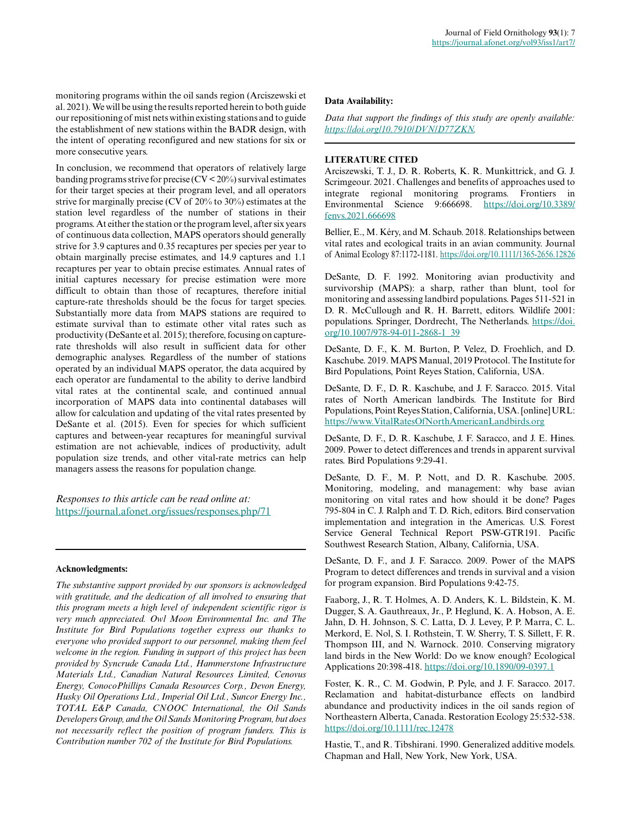monitoring programs within the oil sands region (Arciszewski et al. 2021). We will be using the results reported herein to both guide our repositioning of mist nets within existing stations and to guide the establishment of new stations within the BADR design, with the intent of operating reconfigured and new stations for six or more consecutive years.

In conclusion, we recommend that operators of relatively large banding programs strive for precise  $(CV < 20\%)$  survival estimates for their target species at their program level, and all operators strive for marginally precise (CV of 20% to 30%) estimates at the station level regardless of the number of stations in their programs. At either the station or the program level, after six years of continuous data collection, MAPS operators should generally strive for 3.9 captures and 0.35 recaptures per species per year to obtain marginally precise estimates, and 14.9 captures and 1.1 recaptures per year to obtain precise estimates. Annual rates of initial captures necessary for precise estimation were more difficult to obtain than those of recaptures, therefore initial capture-rate thresholds should be the focus for target species. Substantially more data from MAPS stations are required to estimate survival than to estimate other vital rates such as productivity (DeSante et al. 2015); therefore, focusing on capturerate thresholds will also result in sufficient data for other demographic analyses. Regardless of the number of stations operated by an individual MAPS operator, the data acquired by each operator are fundamental to the ability to derive landbird vital rates at the continental scale, and continued annual incorporation of MAPS data into continental databases will allow for calculation and updating of the vital rates presented by DeSante et al. (2015). Even for species for which sufficient captures and between-year recaptures for meaningful survival estimation are not achievable, indices of productivity, adult population size trends, and other vital-rate metrics can help managers assess the reasons for population change.

*Responses to this article can be read online at:* <https://journal.afonet.org/issues/responses.php/71>

### **Acknowledgments:**

*The substantive support provided by our sponsors is acknowledged with gratitude, and the dedication of all involved to ensuring that this program meets a high level of independent scientific rigor is very much appreciated. Owl Moon Environmental Inc. and The Institute for Bird Populations together express our thanks to everyone who provided support to our personnel, making them feel welcome in the region. Funding in support of this project has been provided by Syncrude Canada Ltd., Hammerstone Infrastructure Materials Ltd., Canadian Natural Resources Limited, Cenovus Energy, ConocoPhillips Canada Resources Corp., Devon Energy, Husky Oil Operations Ltd., Imperial Oil Ltd., Suncor Energy Inc., TOTAL E&P Canada, CNOOC International, the Oil Sands Developers Group, and the Oil Sands Monitoring Program, but does not necessarily reflect the position of program funders. This is Contribution number 702 of the Institute for Bird Populations.*

#### **Data Availability:**

*Data that support the findings of this study are openly available: [https://doi.org/10.7910/DVN/D77ZKN.](https://doi.org/10.7910/DVN/D77ZKN)*

#### **LITERATURE CITED**

Arciszewski, T. J., D. R. Roberts, K. R. Munkittrick, and G. J. Scrimgeour. 2021. Challenges and benefits of approaches used to integrate regional monitoring programs. Frontiers in Environmental Science 9:666698. [https://doi.org/10.3389/](https://doi.org/10.3389/fenvs.2021.666698) [fenvs.2021.666698](https://doi.org/10.3389/fenvs.2021.666698) 

Bellier, E., M. Kéry, and M. Schaub. 2018. Relationships between vital rates and ecological traits in an avian community. Journal of Animal Ecology 87:1172-1181. <https://doi.org/10.1111/1365-2656.12826>

DeSante, D. F. 1992. Monitoring avian productivity and survivorship (MAPS): a sharp, rather than blunt, tool for monitoring and assessing landbird populations. Pages 511-521 in D. R. McCullough and R. H. Barrett, editors. Wildlife 2001: populations. Springer, Dordrecht, The Netherlands. [https://doi.](https://doi.org/10.1007/978-94-011-2868-1_39) [org/10.1007/978-94-011-2868-1\\_39](https://doi.org/10.1007/978-94-011-2868-1_39)

DeSante, D. F., K. M. Burton, P. Velez, D. Froehlich, and D. Kaschube. 2019. MAPS Manual, 2019 Protocol. The Institute for Bird Populations, Point Reyes Station, California, USA.

DeSante, D. F., D. R. Kaschube, and J. F. Saracco. 2015. Vital rates of North American landbirds. The Institute for Bird Populations, Point Reyes Station, California, USA. [online] URL: <https://www.VitalRatesOfNorthAmericanLandbirds.org>

DeSante, D. F., D. R. Kaschube, J. F. Saracco, and J. E. Hines. 2009. Power to detect differences and trends in apparent survival rates. Bird Populations 9:29-41.

DeSante, D. F., M. P. Nott, and D. R. Kaschube. 2005. Monitoring, modeling, and management: why base avian monitoring on vital rates and how should it be done? Pages 795-804 in C. J. Ralph and T. D. Rich, editors. Bird conservation implementation and integration in the Americas. U.S. Forest Service General Technical Report PSW-GTR191. Pacific Southwest Research Station, Albany, California, USA.

DeSante, D. F., and J. F. Saracco. 2009. Power of the MAPS Program to detect differences and trends in survival and a vision for program expansion. Bird Populations 9:42-75.

Faaborg, J., R. T. Holmes, A. D. Anders, K. L. Bildstein, K. M. Dugger, S. A. Gauthreaux, Jr., P. Heglund, K. A. Hobson, A. E. Jahn, D. H. Johnson, S. C. Latta, D. J. Levey, P. P. Marra, C. L. Merkord, E. Nol, S. I. Rothstein, T. W. Sherry, T. S. Sillett, F. R. Thompson III, and N. Warnock. 2010. Conserving migratory land birds in the New World: Do we know enough? Ecological Applications 20:398-418. <https://doi.org/10.1890/09-0397.1>

Foster, K. R., C. M. Godwin, P. Pyle, and J. F. Saracco. 2017. Reclamation and habitat-disturbance effects on landbird abundance and productivity indices in the oil sands region of Northeastern Alberta, Canada. Restoration Ecology 25:532-538. <https://doi.org/10.1111/rec.12478>

Hastie, T., and R. Tibshirani. 1990. Generalized additive models. Chapman and Hall, New York, New York, USA.